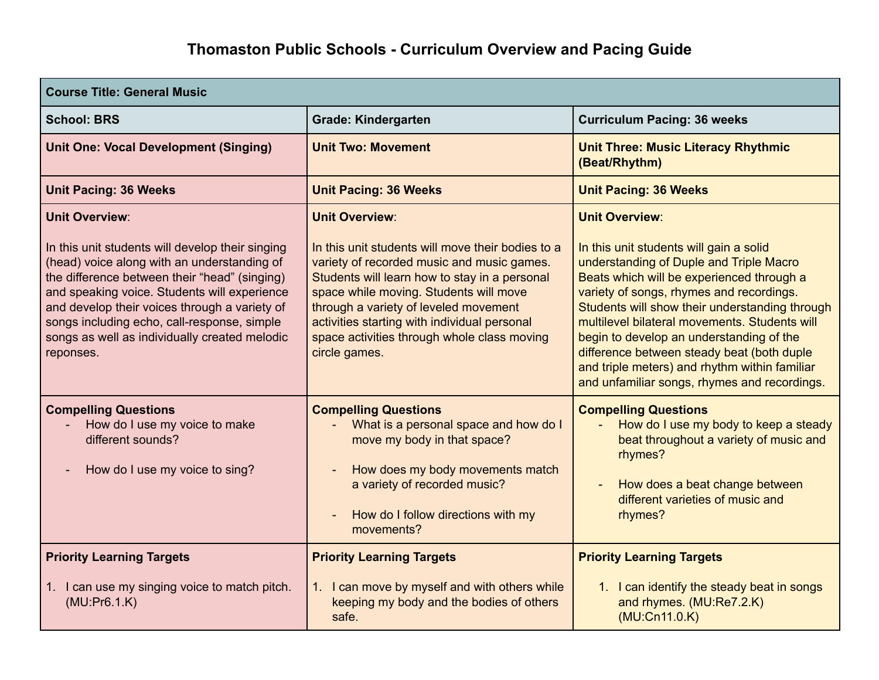| <b>Course Title: General Music</b>                                                                                                                                                                                                                                                                                                                                                      |                                                                                                                                                                                                                                                                                                                                                                              |                                                                                                                                                                                                                                                                                                                                                                                                                                                    |  |
|-----------------------------------------------------------------------------------------------------------------------------------------------------------------------------------------------------------------------------------------------------------------------------------------------------------------------------------------------------------------------------------------|------------------------------------------------------------------------------------------------------------------------------------------------------------------------------------------------------------------------------------------------------------------------------------------------------------------------------------------------------------------------------|----------------------------------------------------------------------------------------------------------------------------------------------------------------------------------------------------------------------------------------------------------------------------------------------------------------------------------------------------------------------------------------------------------------------------------------------------|--|
| <b>School: BRS</b>                                                                                                                                                                                                                                                                                                                                                                      | <b>Grade: Kindergarten</b>                                                                                                                                                                                                                                                                                                                                                   | <b>Curriculum Pacing: 36 weeks</b>                                                                                                                                                                                                                                                                                                                                                                                                                 |  |
| <b>Unit One: Vocal Development (Singing)</b>                                                                                                                                                                                                                                                                                                                                            | <b>Unit Two: Movement</b>                                                                                                                                                                                                                                                                                                                                                    | <b>Unit Three: Music Literacy Rhythmic</b><br>(Beat/Rhythm)                                                                                                                                                                                                                                                                                                                                                                                        |  |
| <b>Unit Pacing: 36 Weeks</b>                                                                                                                                                                                                                                                                                                                                                            | <b>Unit Pacing: 36 Weeks</b>                                                                                                                                                                                                                                                                                                                                                 | <b>Unit Pacing: 36 Weeks</b>                                                                                                                                                                                                                                                                                                                                                                                                                       |  |
| <b>Unit Overview:</b><br>In this unit students will develop their singing<br>(head) voice along with an understanding of<br>the difference between their "head" (singing)<br>and speaking voice. Students will experience<br>and develop their voices through a variety of<br>songs including echo, call-response, simple<br>songs as well as individually created melodic<br>reponses. | <b>Unit Overview:</b><br>In this unit students will move their bodies to a<br>variety of recorded music and music games.<br>Students will learn how to stay in a personal<br>space while moving. Students will move<br>through a variety of leveled movement<br>activities starting with individual personal<br>space activities through whole class moving<br>circle games. | <b>Unit Overview:</b><br>In this unit students will gain a solid<br>understanding of Duple and Triple Macro<br>Beats which will be experienced through a<br>variety of songs, rhymes and recordings.<br>Students will show their understanding through<br>multilevel bilateral movements. Students will<br>begin to develop an understanding of the<br>difference between steady beat (both duple<br>and triple meters) and rhythm within familiar |  |
| <b>Compelling Questions</b><br>How do I use my voice to make<br>different sounds?<br>How do I use my voice to sing?<br>$\overline{\phantom{a}}$                                                                                                                                                                                                                                         | <b>Compelling Questions</b><br>What is a personal space and how do I<br>move my body in that space?<br>How does my body movements match<br>a variety of recorded music?<br>How do I follow directions with my<br>movements?                                                                                                                                                  | and unfamiliar songs, rhymes and recordings.<br><b>Compelling Questions</b><br>How do I use my body to keep a steady<br>beat throughout a variety of music and<br>rhymes?<br>How does a beat change between<br>different varieties of music and<br>rhymes?                                                                                                                                                                                         |  |
| <b>Priority Learning Targets</b>                                                                                                                                                                                                                                                                                                                                                        | <b>Priority Learning Targets</b>                                                                                                                                                                                                                                                                                                                                             | <b>Priority Learning Targets</b>                                                                                                                                                                                                                                                                                                                                                                                                                   |  |
| 1. I can use my singing voice to match pitch.<br>(MU:Pr6.1.K)                                                                                                                                                                                                                                                                                                                           | 1. I can move by myself and with others while<br>keeping my body and the bodies of others<br>safe.                                                                                                                                                                                                                                                                           | 1. I can identify the steady beat in songs<br>and rhymes. (MU:Re7.2.K)<br>(MU:Cn11.0.K)                                                                                                                                                                                                                                                                                                                                                            |  |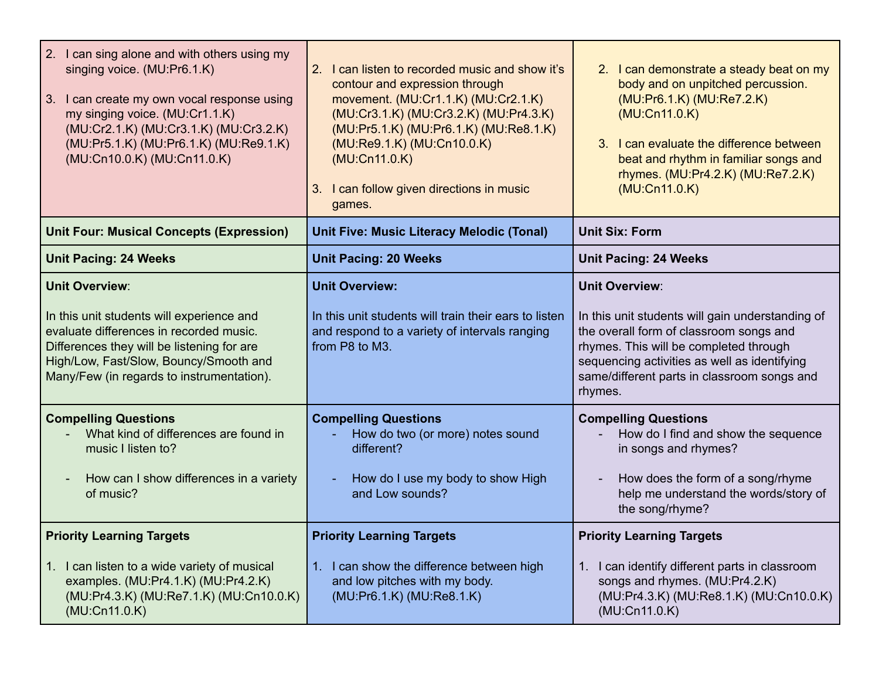| 2. I can sing alone and with others using my<br>singing voice. (MU:Pr6.1.K)<br>3.<br>I can create my own vocal response using<br>my singing voice. (MU:Cr1.1.K)<br>(MU:Cr2.1.K) (MU:Cr3.1.K) (MU:Cr3.2.K)<br>(MU:Pr5.1.K) (MU:Pr6.1.K) (MU:Re9.1.K)<br>(MU:Cn10.0.K) (MU:Cn11.0.K) | 2. I can listen to recorded music and show it's<br>contour and expression through<br>movement. (MU:Cr1.1.K) (MU:Cr2.1.K)<br>(MU:Cr3.1.K) (MU:Cr3.2.K) (MU:Pr4.3.K)<br>(MU:Pr5.1.K) (MU:Pr6.1.K) (MU:Re8.1.K)<br>(MU:Re9.1.K) (MU:Cn10.0.K)<br>(MU:Cn11.0.K)<br>3. I can follow given directions in music<br>games. | 2. I can demonstrate a steady beat on my<br>body and on unpitched percussion.<br>(MU:Pr6.1.K) (MU:Re7.2.K)<br>(MU:Cn11.0.K)<br>I can evaluate the difference between<br>$\mathcal{S}$<br>beat and rhythm in familiar songs and<br>rhymes. (MU:Pr4.2.K) (MU:Re7.2.K)<br>(MU:Cn11.0.K) |
|------------------------------------------------------------------------------------------------------------------------------------------------------------------------------------------------------------------------------------------------------------------------------------|--------------------------------------------------------------------------------------------------------------------------------------------------------------------------------------------------------------------------------------------------------------------------------------------------------------------|--------------------------------------------------------------------------------------------------------------------------------------------------------------------------------------------------------------------------------------------------------------------------------------|
| <b>Unit Four: Musical Concepts (Expression)</b>                                                                                                                                                                                                                                    | <b>Unit Five: Music Literacy Melodic (Tonal)</b>                                                                                                                                                                                                                                                                   | <b>Unit Six: Form</b>                                                                                                                                                                                                                                                                |
| <b>Unit Pacing: 24 Weeks</b>                                                                                                                                                                                                                                                       | <b>Unit Pacing: 20 Weeks</b>                                                                                                                                                                                                                                                                                       | <b>Unit Pacing: 24 Weeks</b>                                                                                                                                                                                                                                                         |
| <b>Unit Overview:</b><br>In this unit students will experience and<br>evaluate differences in recorded music.<br>Differences they will be listening for are<br>High/Low, Fast/Slow, Bouncy/Smooth and<br>Many/Few (in regards to instrumentation).                                 | <b>Unit Overview:</b><br>In this unit students will train their ears to listen<br>and respond to a variety of intervals ranging<br>from P8 to M3.                                                                                                                                                                  | <b>Unit Overview:</b><br>In this unit students will gain understanding of<br>the overall form of classroom songs and<br>rhymes. This will be completed through<br>sequencing activities as well as identifying<br>same/different parts in classroom songs and<br>rhymes.             |
| <b>Compelling Questions</b><br>What kind of differences are found in<br>music I listen to?<br>How can I show differences in a variety<br>$\overline{\phantom{a}}$<br>of music?                                                                                                     | <b>Compelling Questions</b><br>How do two (or more) notes sound<br>different?<br>How do I use my body to show High<br>and Low sounds?                                                                                                                                                                              | <b>Compelling Questions</b><br>How do I find and show the sequence<br>in songs and rhymes?<br>How does the form of a song/rhyme<br>help me understand the words/story of<br>the song/rhyme?                                                                                          |
| <b>Priority Learning Targets</b><br>I can listen to a wide variety of musical<br>examples. (MU:Pr4.1.K) (MU:Pr4.2.K)<br>(MU:Pr4.3.K) (MU:Re7.1.K) (MU:Cn10.0.K)                                                                                                                    | <b>Priority Learning Targets</b><br>1. I can show the difference between high<br>and low pitches with my body.<br>(MU:Pr6.1.K) (MU:Re8.1.K)                                                                                                                                                                        | <b>Priority Learning Targets</b><br>1. I can identify different parts in classroom<br>songs and rhymes. (MU:Pr4.2.K)<br>(MU:Pr4.3.K) (MU:Re8.1.K) (MU:Cn10.0.K)                                                                                                                      |
| (MU:Cn11.0.K)                                                                                                                                                                                                                                                                      |                                                                                                                                                                                                                                                                                                                    | (MU:Cn11.0.K)                                                                                                                                                                                                                                                                        |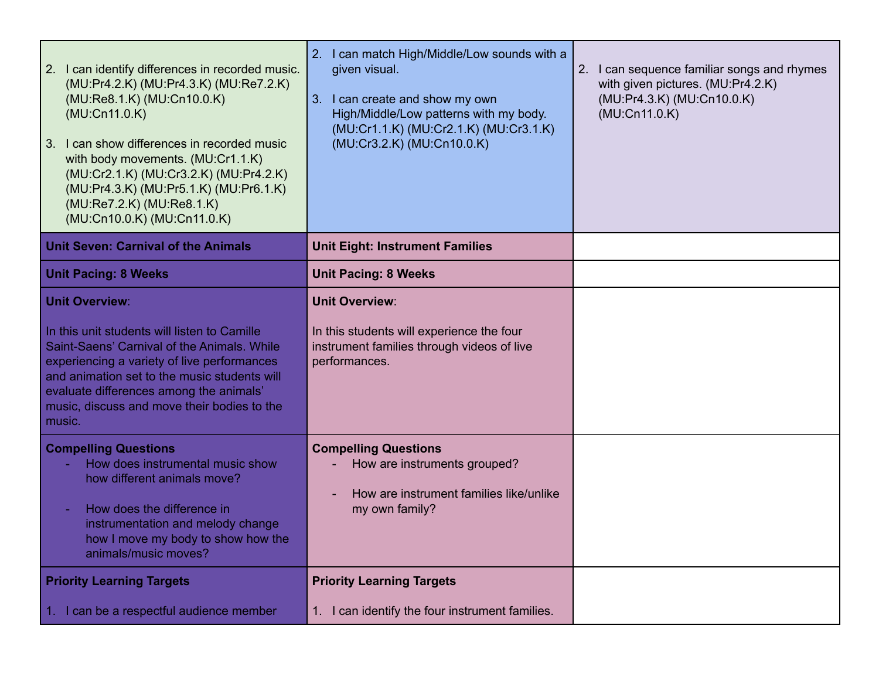| 2. I can identify differences in recorded music.<br>(MU:Pr4.2.K) (MU:Pr4.3.K) (MU:Re7.2.K)<br>(MU:Re8.1.K) (MU:Cn10.0.K)<br>(MU:Cn11.0.K)<br>3. I can show differences in recorded music<br>with body movements. (MU:Cr1.1.K)<br>(MU:Cr2.1.K) (MU:Cr3.2.K) (MU:Pr4.2.K)<br>(MU:Pr4.3.K) (MU:Pr5.1.K) (MU:Pr6.1.K)<br>(MU:Re7.2.K) (MU:Re8.1.K)<br>(MU:Cn10.0.K) (MU:Cn11.0.K) | 2. I can match High/Middle/Low sounds with a<br>given visual.<br>3. I can create and show my own<br>High/Middle/Low patterns with my body.<br>(MU:Cr1.1.K) (MU:Cr2.1.K) (MU:Cr3.1.K)<br>(MU:Cr3.2.K) (MU:Cn10.0.K) | 2. I can sequence familiar songs and rhymes<br>with given pictures. (MU:Pr4.2.K)<br>(MU:Pr4.3.K) (MU:Cn10.0.K)<br>(MU:Cn11.0.K) |
|-------------------------------------------------------------------------------------------------------------------------------------------------------------------------------------------------------------------------------------------------------------------------------------------------------------------------------------------------------------------------------|--------------------------------------------------------------------------------------------------------------------------------------------------------------------------------------------------------------------|---------------------------------------------------------------------------------------------------------------------------------|
| <b>Unit Seven: Carnival of the Animals</b>                                                                                                                                                                                                                                                                                                                                    | <b>Unit Eight: Instrument Families</b>                                                                                                                                                                             |                                                                                                                                 |
| <b>Unit Pacing: 8 Weeks</b>                                                                                                                                                                                                                                                                                                                                                   | <b>Unit Pacing: 8 Weeks</b>                                                                                                                                                                                        |                                                                                                                                 |
| <b>Unit Overview:</b>                                                                                                                                                                                                                                                                                                                                                         | <b>Unit Overview:</b>                                                                                                                                                                                              |                                                                                                                                 |
| In this unit students will listen to Camille<br>Saint-Saens' Carnival of the Animals. While<br>experiencing a variety of live performances<br>and animation set to the music students will<br>evaluate differences among the animals'<br>music, discuss and move their bodies to the<br>music.                                                                                | In this students will experience the four<br>instrument families through videos of live<br>performances.                                                                                                           |                                                                                                                                 |
| <b>Compelling Questions</b><br>How does instrumental music show<br>how different animals move?<br>How does the difference in<br>instrumentation and melody change<br>how I move my body to show how the<br>animals/music moves?                                                                                                                                               | <b>Compelling Questions</b><br>How are instruments grouped?<br>How are instrument families like/unlike<br>my own family?                                                                                           |                                                                                                                                 |
| <b>Priority Learning Targets</b>                                                                                                                                                                                                                                                                                                                                              | <b>Priority Learning Targets</b>                                                                                                                                                                                   |                                                                                                                                 |
| 1. I can be a respectful audience member                                                                                                                                                                                                                                                                                                                                      | 1. I can identify the four instrument families.                                                                                                                                                                    |                                                                                                                                 |